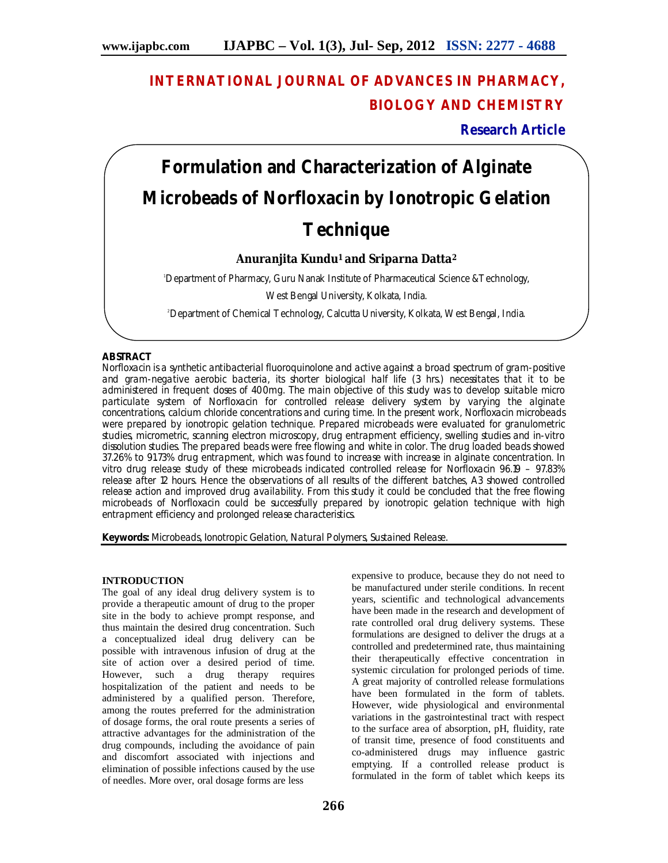# **INTERNATIONAL JOURNAL OF ADVANCES IN PHARMACY, BIOLOGY AND CHEMISTRY**

**Research Article**

# **Formulation and Characterization of Alginate Microbeads of Norfloxacin by Ionotropic Gelation Technique**

# **Anuranjita Kundu1 and Sriparna Datta<sup>2</sup>**

<sup>1</sup>Department of Pharmacy, Guru Nanak Institute of Pharmaceutical Science &Technology,

West Bengal University, Kolkata, India.

2Department of Chemical Technology, Calcutta University, Kolkata, West Bengal, India.

# **ABSTRACT**

Norfloxacin is a synthetic antibacterial fluoroquinolone and active against a broad spectrum of gram-positive and gram-negative aerobic bacteria, its shorter biological half life (3 hrs.) necessitates that it to be administered in frequent doses of 400mg. The main objective of this study was to develop suitable micro particulate system of Norfloxacin for controlled release delivery system by varying the alginate concentrations, calcium chloride concentrations and curing time. In the present work, Norfloxacin microbeads were prepared by ionotropic gelation technique. Prepared microbeads were evaluated for granulometric studies, micrometric, scanning electron microscopy, drug entrapment efficiency, swelling studies and in-vitro dissolution studies. The prepared beads were free flowing and white in color. The drug loaded beads showed 37.26% to 91.73% drug entrapment, which was found to increase with increase in alginate concentration. In vitro drug release study of these microbeads indicated controlled release for Norfloxacin 96.19 – 97.83% release after 12 hours. Hence the observations of all results of the different batches, A3 showed controlled release action and improved drug availability. From this study it could be concluded that the free flowing microbeads of Norfloxacin could be successfully prepared by ionotropic gelation technique with high entrapment efficiency and prolonged release characteristics.

**Keywords:** Microbeads, Ionotropic Gelation, Natural Polymers, Sustained Release.

## **INTRODUCTION**

The goal of any ideal drug delivery system is to provide a therapeutic amount of drug to the proper site in the body to achieve prompt response, and thus maintain the desired drug concentration. Such a conceptualized ideal drug delivery can be possible with intravenous infusion of drug at the site of action over a desired period of time. However, such a drug therapy requires hospitalization of the patient and needs to be administered by a qualified person. Therefore, among the routes preferred for the administration of dosage forms, the oral route presents a series of attractive advantages for the administration of the drug compounds, including the avoidance of pain and discomfort associated with injections and elimination of possible infections caused by the use of needles. More over, oral dosage forms are less

expensive to produce, because they do not need to be manufactured under sterile conditions. In recent years, scientific and technological advancements have been made in the research and development of rate controlled oral drug delivery systems. These formulations are designed to deliver the drugs at a controlled and predetermined rate, thus maintaining their therapeutically effective concentration in systemic circulation for prolonged periods of time. A great majority of controlled release formulations have been formulated in the form of tablets. However, wide physiological and environmental variations in the gastrointestinal tract with respect to the surface area of absorption, pH, fluidity, rate of transit time, presence of food constituents and co-administered drugs may influence gastric emptying. If a controlled release product is formulated in the form of tablet which keeps its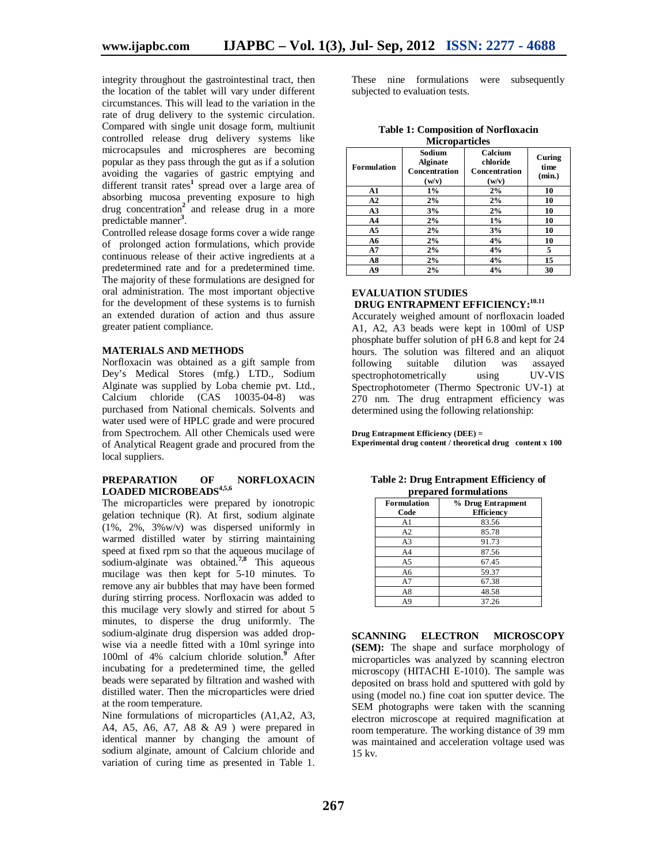integrity throughout the gastrointestinal tract, then the location of the tablet will vary under different circumstances. This will lead to the variation in the rate of drug delivery to the systemic circulation. Compared with single unit dosage form, multiunit controlled release drug delivery systems like microcapsules and microspheres are becoming popular as they pass through the gut as if a solution avoiding the vagaries of gastric emptying and different transit rates**<sup>1</sup>** spread over a large area of absorbing mucosa preventing exposure to high drug concentration**<sup>2</sup>** and release drug in a more predictable manner**<sup>3</sup>** .

Controlled release dosage forms cover a wide range of prolonged action formulations, which provide continuous release of their active ingredients at a predetermined rate and for a predetermined time. The majority of these formulations are designed for oral administration. The most important objective for the development of these systems is to furnish an extended duration of action and thus assure greater patient compliance.

#### **MATERIALS AND METHODS**

Norfloxacin was obtained as a gift sample from Dey's Medical Stores (mfg.) LTD., Sodium Alginate was supplied by Loba chemie pvt. Ltd., Calcium chloride (CAS 10035-04-8) was purchased from National chemicals. Solvents and water used were of HPLC grade and were procured from Spectrochem. All other Chemicals used were of Analytical Reagent grade and procured from the local suppliers.

#### **PREPARATION OF NORFLOXACIN LOADED MICROBEADS4,5,6**

The microparticles were prepared by ionotropic gelation technique (R). At first, sodium alginate (1%, 2%, 3%w/v) was dispersed uniformly in warmed distilled water by stirring maintaining speed at fixed rpm so that the aqueous mucilage of sodium-alginate was obtained.**7,8** This aqueous mucilage was then kept for 5-10 minutes. To remove any air bubbles that may have been formed during stirring process. Norfloxacin was added to this mucilage very slowly and stirred for about 5 minutes, to disperse the drug uniformly. The sodium-alginate drug dispersion was added dropwise via a needle fitted with a 10ml syringe into 100ml of 4% calcium chloride solution.**<sup>9</sup>** After incubating for a predetermined time, the gelled beads were separated by filtration and washed with distilled water. Then the microparticles were dried at the room temperature.

Nine formulations of microparticles (A1,A2, A3, A4, A5, A6, A7, A8 & A9 ) were prepared in identical manner by changing the amount of sodium alginate, amount of Calcium chloride and variation of curing time as presented in Table 1.

These nine formulations were subsequently subjected to evaluation tests.

| <b>Microparticles</b> |                                                     |                                               |                          |
|-----------------------|-----------------------------------------------------|-----------------------------------------------|--------------------------|
| <b>Formulation</b>    | Sodium<br><b>Alginate</b><br>Concentration<br>(w/v) | Calcium<br>chloride<br>Concentration<br>(w/v) | Curing<br>time<br>(min.) |
| A1                    | $1\%$                                               | 2%                                            | 10                       |
| A2                    | 2%                                                  | 2%                                            | 10                       |
| A <sub>3</sub>        | 3%                                                  | 2%                                            | 10                       |
| A <sub>4</sub>        | 2%                                                  | $1\%$                                         | 10                       |
| A <sub>5</sub>        | 2%                                                  | 3%                                            | 10                       |
| A6                    | 2%                                                  | 4%                                            | 10                       |
| A7                    | 2%                                                  | 4%                                            | 5                        |
| A8                    | 2%                                                  | 4%                                            | 15                       |
| A9                    | 2%                                                  | 4%                                            | 30                       |

**Table 1: Composition of Norfloxacin** 

## **EVALUATION STUDIES DRUG ENTRAPMENT EFFICIENCY:10.11**

Accurately weighed amount of norfloxacin loaded A1, A2, A3 beads were kept in 100ml of USP phosphate buffer solution of pH 6.8 and kept for 24 hours. The solution was filtered and an aliquot following suitable dilution was assayed<br>spectrophotometrically using UV-VIS spectrophotometrically using Spectrophotometer (Thermo Spectronic UV-1) at 270 nm. The drug entrapment efficiency was determined using the following relationship:

**Drug Entrapment Efficiency (DEE) =**

**Experimental drug content / theoretical drug content x 100**

**Table 2: Drug Entrapment Efficiency of prepared formulations**

| <b>Formulation</b><br>Code | % Drug Entrapment<br>Efficiency |
|----------------------------|---------------------------------|
| A1                         | 83.56                           |
| A2                         | 85.78                           |
| A <sub>3</sub>             | 91.73                           |
| A <sub>4</sub>             | 87.56                           |
| A5                         | 67.45                           |
| A6                         | 59.37                           |
| A7                         | 67.38                           |
| A8                         | 48.58                           |
| A9                         | 37.26                           |

**SCANNING ELECTRON MICROSCOPY (SEM):** The shape and surface morphology of microparticles was analyzed by scanning electron microscopy (HITACHI E-1010). The sample was deposited on brass hold and sputtered with gold by using (model no.) fine coat ion sputter device. The SEM photographs were taken with the scanning electron microscope at required magnification at room temperature. The working distance of 39 mm was maintained and acceleration voltage used was 15 kv.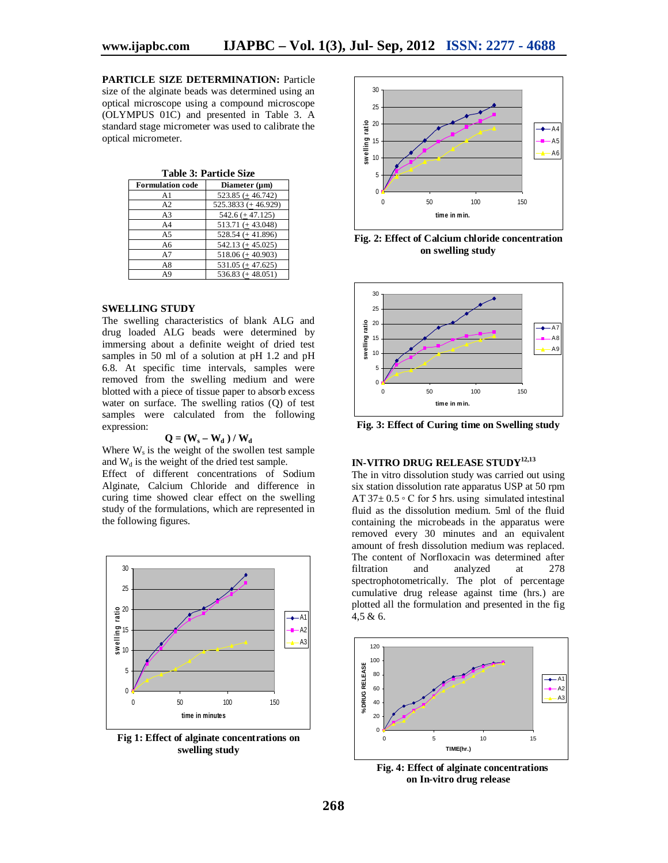**PARTICLE SIZE DETERMINATION:** Particle size of the alginate beads was determined using an optical microscope using a compound microscope (OLYMPUS 01C) and presented in Table 3. A standard stage micrometer was used to calibrate the optical micrometer.

**Table 3: Particle Size**

| <b>Formulation code</b> | Diameter $(\mu m)$    |
|-------------------------|-----------------------|
| A1                      | $523.85 (+ 46.742)$   |
| A2                      | $525.3833 (+ 46.929)$ |
| A <sub>3</sub>          | $542.6 (+ 47.125)$    |
| A4                      | $513.71 (+43.048)$    |
| A <sub>5</sub>          | $528.54 (+ 41.896)$   |
| A6                      | $542.13 (+ 45.025)$   |
| A7                      | $518.06 (+ 40.903)$   |
| A8                      | $531.05 (+47.625)$    |
| A <sub>9</sub>          | $536.83 (+ 48.051)$   |

#### **SWELLING STUDY**

The swelling characteristics of blank ALG and drug loaded ALG beads were determined by immersing about a definite weight of dried test samples in 50 ml of a solution at pH 1.2 and pH 6.8. At specific time intervals, samples were removed from the swelling medium and were blotted with a piece of tissue paper to absorb excess water on surface. The swelling ratios (Q) of test samples were calculated from the following expression:

#### $Q = (W_s - W_d) / W_d$

Where  $W_s$  is the weight of the swollen test sample and  $W_d$  is the weight of the dried test sample.

Effect of different concentrations of Sodium Alginate, Calcium Chloride and difference in curing time showed clear effect on the swelling study of the formulations, which are represented in the following figures.



**Fig 1: Effect of alginate concentrations on swelling study**



**Fig. 2: Effect of Calcium chloride concentration on swelling study**



**Fig. 3: Effect of Curing time on Swelling study**

# **IN-VITRO DRUG RELEASE STUDY12,13**

The in vitro dissolution study was carried out using six station dissolution rate apparatus USP at 50 rpm AT  $37 \pm 0.5$   $\circ$  C for 5 hrs. using simulated intestinal fluid as the dissolution medium. 5ml of the fluid containing the microbeads in the apparatus were removed every 30 minutes and an equivalent amount of fresh dissolution medium was replaced. The content of Norfloxacin was determined after<br>filtration and analyzed at 278 filtration and analyzed at 278 spectrophotometrically. The plot of percentage cumulative drug release against time (hrs.) are plotted all the formulation and presented in the fig 4,5 & 6.



 **Fig. 4: Effect of alginate concentrations on In-vitro drug release**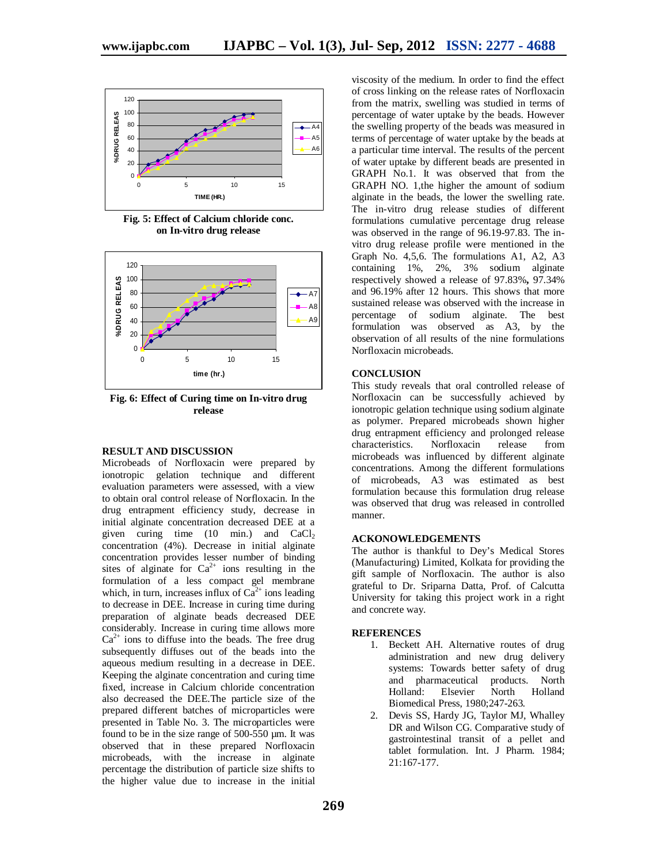

**Fig. 5: Effect of Calcium chloride conc. on In-vitro drug release**



**Fig. 6: Effect of Curing time on In-vitro drug release**

#### **RESULT AND DISCUSSION**

Microbeads of Norfloxacin were prepared by ionotropic gelation technique and different evaluation parameters were assessed, with a view to obtain oral control release of Norfloxacin. In the drug entrapment efficiency study, decrease in initial alginate concentration decreased DEE at a given curing time  $(10 \text{ min.})$  and  $CaCl<sub>2</sub>$ concentration (4%). Decrease in initial alginate concentration provides lesser number of binding sites of alginate for  $Ca^{2+}$  ions resulting in the formulation of a less compact gel membrane which, in turn, increases influx of  $Ca^{2+}$  ions leading to decrease in DEE. Increase in curing time during preparation of alginate beads decreased DEE considerably. Increase in curing time allows more  $Ca<sup>2+</sup>$  ions to diffuse into the beads. The free drug subsequently diffuses out of the beads into the aqueous medium resulting in a decrease in DEE. Keeping the alginate concentration and curing time fixed, increase in Calcium chloride concentration also decreased the DEE.The particle size of the prepared different batches of microparticles were presented in Table No. 3. The microparticles were found to be in the size range of 500-550 µm. It was observed that in these prepared Norfloxacin microbeads, with the increase in alginate percentage the distribution of particle size shifts to the higher value due to increase in the initial

viscosity of the medium. In order to find the effect of cross linking on the release rates of Norfloxacin from the matrix, swelling was studied in terms of percentage of water uptake by the beads. However the swelling property of the beads was measured in terms of percentage of water uptake by the beads at a particular time interval. The results of the percent of water uptake by different beads are presented in GRAPH No.1. It was observed that from the GRAPH NO. 1,the higher the amount of sodium alginate in the beads, the lower the swelling rate. The in-vitro drug release studies of different formulations cumulative percentage drug release was observed in the range of 96.19-97.83. The invitro drug release profile were mentioned in the Graph No. 4,5,6. The formulations A1, A2, A3 containing 1%, 2%, 3% sodium alginate respectively showed a release of 97.83%**,** 97.34% and 96.19% after 12 hours. This shows that more sustained release was observed with the increase in percentage of sodium alginate. The best formulation was observed as A3, by the observation of all results of the nine formulations Norfloxacin microbeads.

#### **CONCLUSION**

This study reveals that oral controlled release of Norfloxacin can be successfully achieved by ionotropic gelation technique using sodium alginate as polymer. Prepared microbeads shown higher drug entrapment efficiency and prolonged release<br>characteristics. Norfloxacin release from characteristics. Norfloxacin release from microbeads was influenced by different alginate concentrations. Among the different formulations of microbeads, A3 was estimated as best formulation because this formulation drug release was observed that drug was released in controlled manner.

#### **ACKONOWLEDGEMENTS**

The author is thankful to Dey's Medical Stores (Manufacturing) Limited, Kolkata for providing the gift sample of Norfloxacin. The author is also grateful to Dr. Sriparna Datta, Prof. of Calcutta University for taking this project work in a right and concrete way.

#### **REFERENCES**

- 1. Beckett AH. Alternative routes of drug administration and new drug delivery systems: Towards better safety of drug and pharmaceutical products. North<br>Holland: Elsevier North Holland Elsevier Biomedical Press, 1980;247-263.
- 2. Devis SS, Hardy JG, Taylor MJ, Whalley DR and Wilson CG. Comparative study of gastrointestinal transit of a pellet and tablet formulation. Int. J Pharm. 1984; 21:167-177.